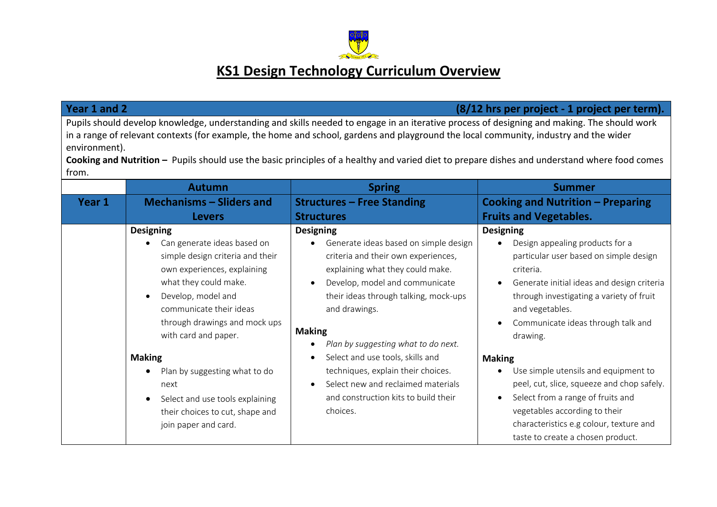

## **KS1 Design Technology Curriculum Overview**

| Year 1 and 2<br>(8/12 hrs per project - 1 project per term).                                                                                                                                                                                                                                                                                                                                                                                                    |                                                                                                                                                                                                                                                                                                                                                                                                                                              |                                                                                                                                                                                                                                                                                                                                                                                                                                                                                             |                                                                                                                                                                                                                                                                                                                                                                                                                                                                                                                                                                       |  |  |  |
|-----------------------------------------------------------------------------------------------------------------------------------------------------------------------------------------------------------------------------------------------------------------------------------------------------------------------------------------------------------------------------------------------------------------------------------------------------------------|----------------------------------------------------------------------------------------------------------------------------------------------------------------------------------------------------------------------------------------------------------------------------------------------------------------------------------------------------------------------------------------------------------------------------------------------|---------------------------------------------------------------------------------------------------------------------------------------------------------------------------------------------------------------------------------------------------------------------------------------------------------------------------------------------------------------------------------------------------------------------------------------------------------------------------------------------|-----------------------------------------------------------------------------------------------------------------------------------------------------------------------------------------------------------------------------------------------------------------------------------------------------------------------------------------------------------------------------------------------------------------------------------------------------------------------------------------------------------------------------------------------------------------------|--|--|--|
| Pupils should develop knowledge, understanding and skills needed to engage in an iterative process of designing and making. The should work<br>in a range of relevant contexts (for example, the home and school, gardens and playground the local community, industry and the wider<br>environment).<br>Cooking and Nutrition - Pupils should use the basic principles of a healthy and varied diet to prepare dishes and understand where food comes<br>from. |                                                                                                                                                                                                                                                                                                                                                                                                                                              |                                                                                                                                                                                                                                                                                                                                                                                                                                                                                             |                                                                                                                                                                                                                                                                                                                                                                                                                                                                                                                                                                       |  |  |  |
|                                                                                                                                                                                                                                                                                                                                                                                                                                                                 | <b>Autumn</b>                                                                                                                                                                                                                                                                                                                                                                                                                                | <b>Spring</b>                                                                                                                                                                                                                                                                                                                                                                                                                                                                               | <b>Summer</b>                                                                                                                                                                                                                                                                                                                                                                                                                                                                                                                                                         |  |  |  |
| Year 1                                                                                                                                                                                                                                                                                                                                                                                                                                                          | <b>Mechanisms - Sliders and</b>                                                                                                                                                                                                                                                                                                                                                                                                              | <b>Structures - Free Standing</b>                                                                                                                                                                                                                                                                                                                                                                                                                                                           | <b>Cooking and Nutrition - Preparing</b>                                                                                                                                                                                                                                                                                                                                                                                                                                                                                                                              |  |  |  |
|                                                                                                                                                                                                                                                                                                                                                                                                                                                                 | <b>Levers</b>                                                                                                                                                                                                                                                                                                                                                                                                                                | <b>Structures</b>                                                                                                                                                                                                                                                                                                                                                                                                                                                                           | <b>Fruits and Vegetables.</b>                                                                                                                                                                                                                                                                                                                                                                                                                                                                                                                                         |  |  |  |
|                                                                                                                                                                                                                                                                                                                                                                                                                                                                 | <b>Designing</b><br>Can generate ideas based on<br>simple design criteria and their<br>own experiences, explaining<br>what they could make.<br>Develop, model and<br>$\bullet$<br>communicate their ideas<br>through drawings and mock ups<br>with card and paper.<br><b>Making</b><br>Plan by suggesting what to do<br>٠<br>next<br>Select and use tools explaining<br>$\bullet$<br>their choices to cut, shape and<br>join paper and card. | <b>Designing</b><br>Generate ideas based on simple design<br>criteria and their own experiences,<br>explaining what they could make.<br>Develop, model and communicate<br>$\bullet$<br>their ideas through talking, mock-ups<br>and drawings.<br><b>Making</b><br>Plan by suggesting what to do next.<br>٠<br>Select and use tools, skills and<br>techniques, explain their choices.<br>Select new and reclaimed materials<br>$\bullet$<br>and construction kits to build their<br>choices. | <b>Designing</b><br>Design appealing products for a<br>particular user based on simple design<br>criteria.<br>Generate initial ideas and design criteria<br>through investigating a variety of fruit<br>and vegetables.<br>Communicate ideas through talk and<br>$\bullet$<br>drawing.<br><b>Making</b><br>Use simple utensils and equipment to<br>٠<br>peel, cut, slice, squeeze and chop safely.<br>Select from a range of fruits and<br>$\bullet$<br>vegetables according to their<br>characteristics e.g colour, texture and<br>taste to create a chosen product. |  |  |  |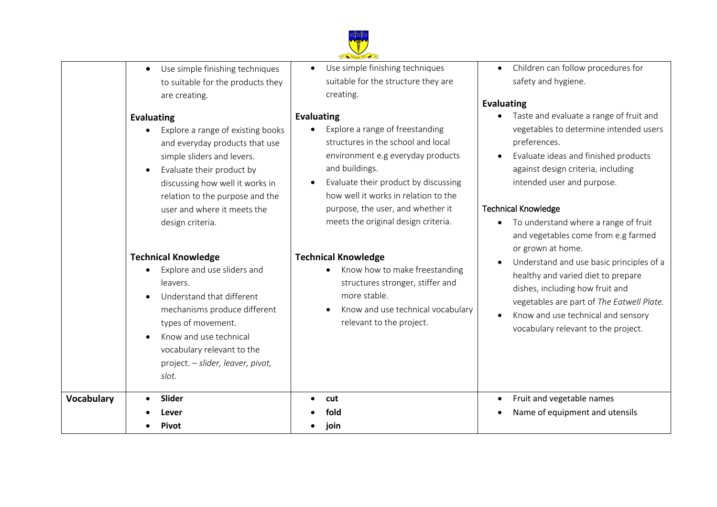

|                   | Use simple finishing techniques<br>$\bullet$<br>to suitable for the products they<br>are creating.<br><b>Evaluating</b><br>Explore a range of existing books<br>and everyday products that use<br>simple sliders and levers.<br>Evaluate their product by<br>discussing how well it works in<br>relation to the purpose and the<br>user and where it meets the<br>design criteria. | Founded 1871<br>Use simple finishing techniques<br>suitable for the structure they are<br>creating.<br><b>Evaluating</b><br>Explore a range of freestanding<br>structures in the school and local<br>environment e.g everyday products<br>and buildings.<br>Evaluate their product by discussing<br>how well it works in relation to the<br>purpose, the user, and whether it<br>meets the original design criteria. | Children can follow procedures fo<br>safety and hygiene.<br><b>Evaluating</b><br>Taste and evaluate a range of fruit<br>vegetables to determine intended<br>preferences.<br>Evaluate ideas and finished produ<br>$\bullet$<br>against design criteria, including<br>intended user and purpose.<br><b>Technical Knowledge</b><br>To understand where a range of fi |
|-------------------|------------------------------------------------------------------------------------------------------------------------------------------------------------------------------------------------------------------------------------------------------------------------------------------------------------------------------------------------------------------------------------|----------------------------------------------------------------------------------------------------------------------------------------------------------------------------------------------------------------------------------------------------------------------------------------------------------------------------------------------------------------------------------------------------------------------|-------------------------------------------------------------------------------------------------------------------------------------------------------------------------------------------------------------------------------------------------------------------------------------------------------------------------------------------------------------------|
|                   | <b>Technical Knowledge</b><br>Explore and use sliders and<br>leavers.<br>Understand that different<br>mechanisms produce different<br>types of movement.<br>Know and use technical<br>vocabulary relevant to the<br>project. - slider, leaver, pivot,<br>slot.                                                                                                                     | <b>Technical Knowledge</b><br>Know how to make freestanding<br>structures stronger, stiffer and<br>more stable.<br>Know and use technical vocabulary<br>relevant to the project.                                                                                                                                                                                                                                     | and vegetables come from e.g far<br>or grown at home.<br>Understand and use basic principl<br>$\bullet$<br>healthy and varied diet to prepare<br>dishes, including how fruit and<br>vegetables are part of The Eatwell<br>Know and use technical and senso<br>vocabulary relevant to the project                                                                  |
| <b>Vocabulary</b> | Slider<br>Lever<br><b>Pivot</b>                                                                                                                                                                                                                                                                                                                                                    | cut<br>fold<br>join                                                                                                                                                                                                                                                                                                                                                                                                  | Fruit and vegetable names<br>$\bullet$<br>Name of equipment and utensils                                                                                                                                                                                                                                                                                          |

- cedures for
- nge of fruit and e intended users
- hed products including iose.
- range of fruit om e.g farmed
- sic principles of a to prepare uit and Fhe Eatwell Plate.
- I and sensory the project.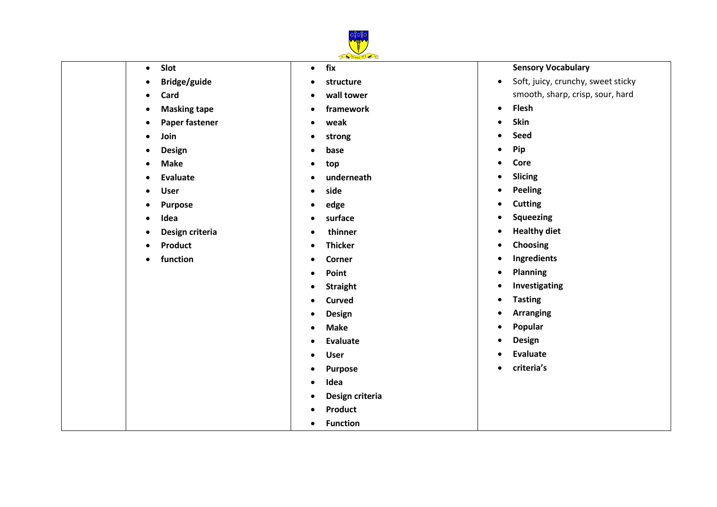

## **Slot**

- **Bridge/guide**
- **Card**
- **Masking tape**
- **Paper fastener**
- **Join**
- **Design**
- **Make**
- **Evaluate**
- **User**
- **Purpose**
- **Idea**
- **Design criteria**
- **•** Product
- **function**

## **fix**

- **structure**
- **wall tower**
- **framework**
- **weak**
- **strong**
- **base**
- **top**
- **underneath**
- **side**
- **edge**
- **surface**
- **thinner**
- **Thicker**
- **Corner**
- **Point**
- **•** Straight
- **Curved**
- **Design**
- **Make**
- **Evaluate**
- **User**
- **Purpose**
- **Idea**
- **Design criteria**
- **•** Product
- **Function**

## **Sensory Vocabulary**

- Soft, juicy, crunchy, sweet sticky smooth, sharp, crisp, sour, hard
- **Flesh**
- **•** Skin
- **Seed**
- **•** Pip
- **•** Core
- **•** Slicing
- **•** Peeling
- **Cutting**
- **•** Squeezing
- **•** Healthy diet
- **Choosing**
- **Ingredients**
- **Planning**
- **•** Investigating
- **Tasting**
- **Arranging**
- **Popular**
- **Design**
- **Evaluate**
- **criteria's**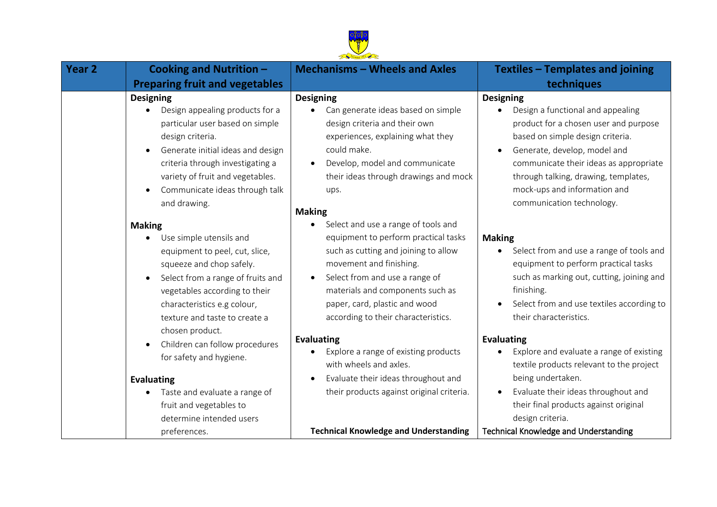

| Year 2 | <b>Cooking and Nutrition -</b>                                                                                                                                                                                                                                                                                       | <b>Mechanisms - Wheels and Axles</b>                                                                                                                                                                                                                                                   | <b>Textiles - Templates and joining</b>                                                                                                                                                                                                                                                                           |
|--------|----------------------------------------------------------------------------------------------------------------------------------------------------------------------------------------------------------------------------------------------------------------------------------------------------------------------|----------------------------------------------------------------------------------------------------------------------------------------------------------------------------------------------------------------------------------------------------------------------------------------|-------------------------------------------------------------------------------------------------------------------------------------------------------------------------------------------------------------------------------------------------------------------------------------------------------------------|
|        | <b>Preparing fruit and vegetables</b>                                                                                                                                                                                                                                                                                |                                                                                                                                                                                                                                                                                        | techniques                                                                                                                                                                                                                                                                                                        |
|        | <b>Designing</b><br>Design appealing products for a<br>particular user based on simple<br>design criteria.<br>Generate initial ideas and design<br>$\bullet$<br>criteria through investigating a<br>variety of fruit and vegetables.<br>Communicate ideas through talk<br>$\bullet$<br>and drawing.<br><b>Making</b> | <b>Designing</b><br>Can generate ideas based on simple<br>design criteria and their own<br>experiences, explaining what they<br>could make.<br>Develop, model and communicate<br>their ideas through drawings and mock<br>ups.<br><b>Making</b><br>Select and use a range of tools and | <b>Designing</b><br>Design a functional and appealing<br>product for a chosen user and purpose<br>based on simple design criteria.<br>Generate, develop, model and<br>communicate their ideas as appropriate<br>through talking, drawing, templates,<br>mock-ups and information and<br>communication technology. |
|        | Use simple utensils and<br>equipment to peel, cut, slice,<br>squeeze and chop safely.<br>Select from a range of fruits and<br>$\bullet$<br>vegetables according to their<br>characteristics e.g colour,<br>texture and taste to create a<br>chosen product.                                                          | equipment to perform practical tasks<br>such as cutting and joining to allow<br>movement and finishing.<br>Select from and use a range of<br>materials and components such as<br>paper, card, plastic and wood<br>according to their characteristics.                                  | <b>Making</b><br>Select from and use a range of tools and<br>equipment to perform practical tasks<br>such as marking out, cutting, joining and<br>finishing.<br>Select from and use textiles according to<br>their characteristics.                                                                               |
|        | Children can follow procedures<br>$\bullet$<br>for safety and hygiene.                                                                                                                                                                                                                                               | <b>Evaluating</b><br>Explore a range of existing products<br>with wheels and axles.                                                                                                                                                                                                    | <b>Evaluating</b><br>Explore and evaluate a range of existing<br>textile products relevant to the project                                                                                                                                                                                                         |
|        | <b>Evaluating</b><br>Taste and evaluate a range of<br>fruit and vegetables to<br>determine intended users<br>preferences.                                                                                                                                                                                            | Evaluate their ideas throughout and<br>$\bullet$<br>their products against original criteria.<br><b>Technical Knowledge and Understanding</b>                                                                                                                                          | being undertaken.<br>Evaluate their ideas throughout and<br>their final products against original<br>design criteria.<br><b>Technical Knowledge and Understanding</b>                                                                                                                                             |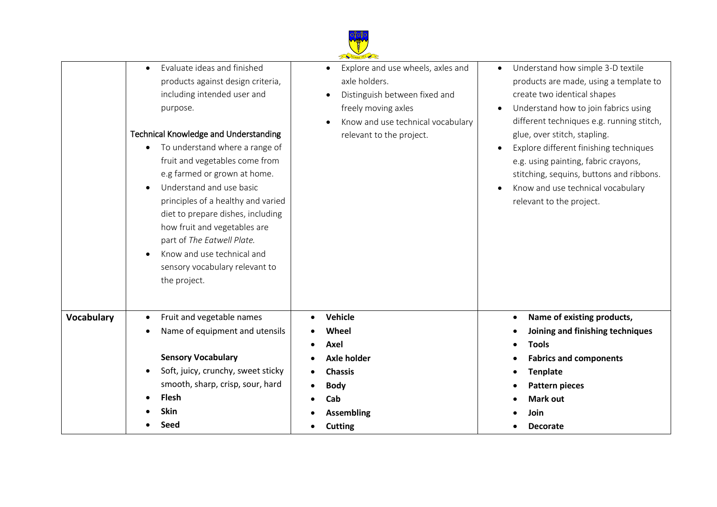

|                   | Evaluate ideas and finished<br>$\bullet$<br>products against design criteria,<br>including intended user and<br>purpose.<br><b>Technical Knowledge and Understanding</b><br>To understand where a range of<br>$\bullet$<br>fruit and vegetables come from<br>e.g farmed or grown at home.<br>Understand and use basic<br>$\bullet$<br>principles of a healthy and varied<br>diet to prepare dishes, including<br>how fruit and vegetables are<br>part of The Eatwell Plate.<br>Know and use technical and<br>$\bullet$<br>sensory vocabulary relevant to<br>the project. | Explore and use wheels, axles and<br>axle holders.<br>Distinguish between fixed and<br>freely moving axles<br>Know and use technical vocabulary<br>relevant to the project. | Understand how simple 3-D textile<br>products are made, using a template to<br>create two identical shapes<br>Understand how to join fabrics using<br>different techniques e.g. running stitch,<br>glue, over stitch, stapling.<br>Explore different finishing techniques<br>e.g. using painting, fabric crayons,<br>stitching, sequins, buttons and ribbons.<br>Know and use technical vocabulary<br>$\bullet$<br>relevant to the project. |
|-------------------|--------------------------------------------------------------------------------------------------------------------------------------------------------------------------------------------------------------------------------------------------------------------------------------------------------------------------------------------------------------------------------------------------------------------------------------------------------------------------------------------------------------------------------------------------------------------------|-----------------------------------------------------------------------------------------------------------------------------------------------------------------------------|---------------------------------------------------------------------------------------------------------------------------------------------------------------------------------------------------------------------------------------------------------------------------------------------------------------------------------------------------------------------------------------------------------------------------------------------|
| <b>Vocabulary</b> | Fruit and vegetable names<br>$\bullet$                                                                                                                                                                                                                                                                                                                                                                                                                                                                                                                                   | <b>Vehicle</b>                                                                                                                                                              | Name of existing products,<br>$\bullet$                                                                                                                                                                                                                                                                                                                                                                                                     |
|                   | Name of equipment and utensils<br>٠                                                                                                                                                                                                                                                                                                                                                                                                                                                                                                                                      | Wheel<br>Axel                                                                                                                                                               | Joining and finishing techniques<br><b>Tools</b>                                                                                                                                                                                                                                                                                                                                                                                            |
|                   | <b>Sensory Vocabulary</b>                                                                                                                                                                                                                                                                                                                                                                                                                                                                                                                                                | <b>Axle holder</b>                                                                                                                                                          | <b>Fabrics and components</b>                                                                                                                                                                                                                                                                                                                                                                                                               |
|                   | Soft, juicy, crunchy, sweet sticky<br>$\bullet$                                                                                                                                                                                                                                                                                                                                                                                                                                                                                                                          | <b>Chassis</b>                                                                                                                                                              | <b>Tenplate</b>                                                                                                                                                                                                                                                                                                                                                                                                                             |
|                   | smooth, sharp, crisp, sour, hard                                                                                                                                                                                                                                                                                                                                                                                                                                                                                                                                         | <b>Body</b>                                                                                                                                                                 | <b>Pattern pieces</b>                                                                                                                                                                                                                                                                                                                                                                                                                       |
|                   | <b>Flesh</b>                                                                                                                                                                                                                                                                                                                                                                                                                                                                                                                                                             | Cab                                                                                                                                                                         | <b>Mark out</b>                                                                                                                                                                                                                                                                                                                                                                                                                             |
|                   | Skin                                                                                                                                                                                                                                                                                                                                                                                                                                                                                                                                                                     | <b>Assembling</b>                                                                                                                                                           | Join                                                                                                                                                                                                                                                                                                                                                                                                                                        |
|                   | Seed                                                                                                                                                                                                                                                                                                                                                                                                                                                                                                                                                                     | <b>Cutting</b>                                                                                                                                                              | <b>Decorate</b>                                                                                                                                                                                                                                                                                                                                                                                                                             |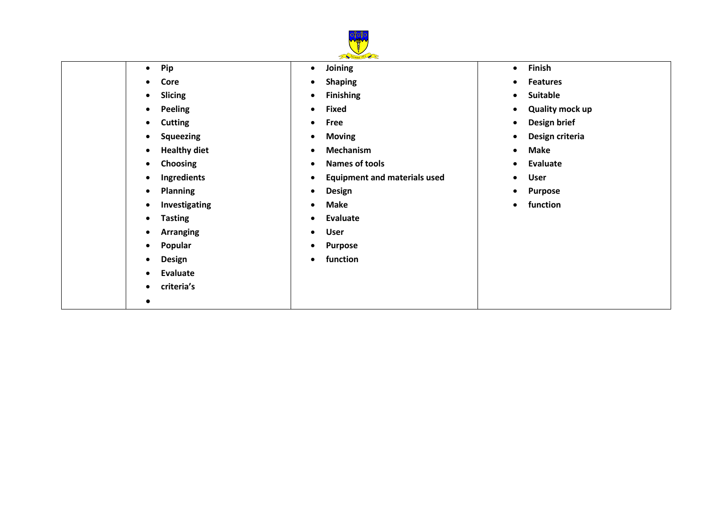

**•** Pip

- **Joining**
- **•** Shaping
- **Finishing**
- **Fixed**
- **Free**
- **Moving**
- **Mechanism**
- **Names of tools**
- **Equipment and materials used**
- **Design**
- **Make**
- **Evaluate**
- **User**
- **Purpose**
- **function**
- **Finish**
- **Features**
- **•** Suitable
- **Quality mock up**
- **Design brief**
- **Design criteria**
- **Make**
- **Evaluate**
- **User**
- **Purpose**
- **function**

**•** Core

**•** Slicing **•** Peeling **•** Cutting **•** Squeezing **•** Healthy diet **Choosing Ingredients Planning •** Investigating

 **Tasting Arranging Popular Design Evaluate criteria's**

 $\bullet$